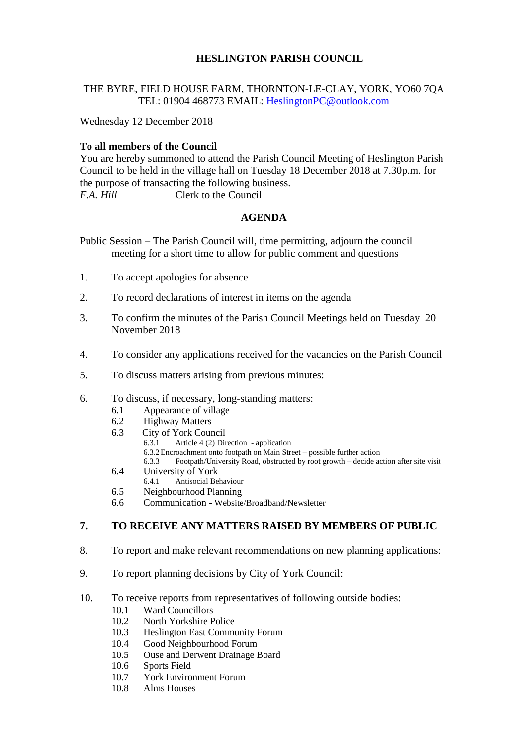# **HESLINGTON PARISH COUNCIL**

## THE BYRE, FIELD HOUSE FARM, THORNTON-LE-CLAY, YORK, YO60 7QA TEL: 01904 468773 EMAIL: [HeslingtonPC@outlook.com](mailto:HeslingtonPC@outlook.com)

Wednesday 12 December 2018

## **To all members of the Council**

You are hereby summoned to attend the Parish Council Meeting of Heslington Parish Council to be held in the village hall on Tuesday 18 December 2018 at 7.30p.m. for the purpose of transacting the following business. *F.A. Hill* Clerk to the Council

## **AGENDA**

Public Session – The Parish Council will, time permitting, adjourn the council meeting for a short time to allow for public comment and questions

- 1. To accept apologies for absence
- 2. To record declarations of interest in items on the agenda
- 3. To confirm the minutes of the Parish Council Meetings held on Tuesday 20 November 2018
- 4. To consider any applications received for the vacancies on the Parish Council
- 5. To discuss matters arising from previous minutes:

#### 6. To discuss, if necessary, long-standing matters:

- 6.1 Appearance of village
- 6.2 Highway Matters
- 6.3 City of York Council<br>6.3.1 Article 4.(2) Dir
	- Article 4 (2) Direction application
		- 6.3.2Encroachment onto footpath on Main Street possible further action
		- 6.3.3 Footpath/University Road, obstructed by root growth decide action after site visit
- 6.4 University of York
	- 6.4.1 Antisocial Behaviour
- 6.5 Neighbourhood Planning
- 6.6 Communication Website/Broadband/Newsletter

#### **7. TO RECEIVE ANY MATTERS RAISED BY MEMBERS OF PUBLIC**

- 8. To report and make relevant recommendations on new planning applications:
- 9. To report planning decisions by City of York Council:
- 10. To receive reports from representatives of following outside bodies:
	- 10.1 Ward Councillors
	- 10.2 North Yorkshire Police
	- 10.3 Heslington East Community Forum
	- 10.4 Good Neighbourhood Forum
	- 10.5 Ouse and Derwent Drainage Board
	- 10.6 Sports Field
	- 10.7 York Environment Forum
	- 10.8 Alms Houses